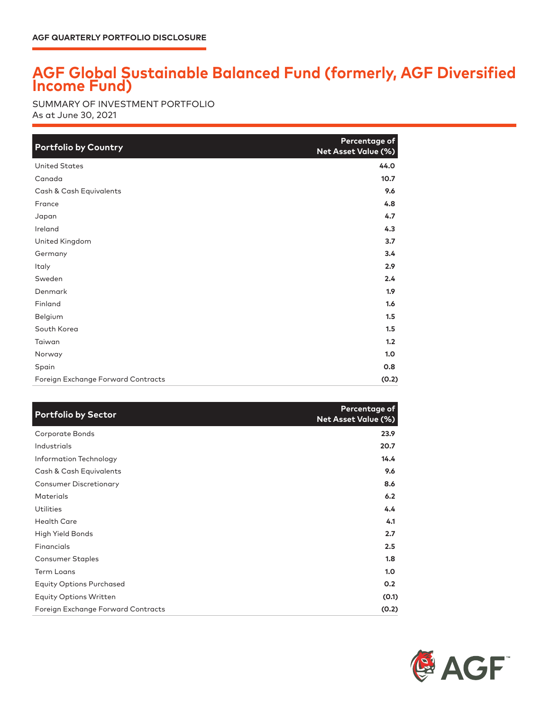## **AGF Global Sustainable Balanced Fund (formerly, AGF Diversified Income Fund)**

As at June 30, 2021 SUMMARY OF INVESTMENT PORTFOLIO

| <b>Portfolio by Country</b>        | Percentage of<br>Net Asset Value (%) |
|------------------------------------|--------------------------------------|
| <b>United States</b>               | 44.0                                 |
| Canada                             | 10.7                                 |
| Cash & Cash Equivalents            | 9.6                                  |
| France                             | 4.8                                  |
| Japan                              | 4.7                                  |
| Ireland                            | 4.3                                  |
| United Kingdom                     | 3.7                                  |
| Germany                            | 3.4                                  |
| Italy                              | 2.9                                  |
| Sweden                             | 2.4                                  |
| Denmark                            | 1.9                                  |
| Finland                            | 1.6                                  |
| Belgium                            | 1.5                                  |
| South Korea                        | 1.5                                  |
| Taiwan                             | 1.2                                  |
| Norway                             | 1.0                                  |
| Spain                              | 0.8                                  |
| Foreign Exchange Forward Contracts | (0.2)                                |

| <b>Portfolio by Sector</b>         | Percentage of<br><b>Net Asset Value (%)</b> |
|------------------------------------|---------------------------------------------|
| Corporate Bonds                    | 23.9                                        |
| Industrials                        | 20.7                                        |
| Information Technology             | 14.4                                        |
| Cash & Cash Equivalents            | 9.6                                         |
| <b>Consumer Discretionary</b>      | 8.6                                         |
| <b>Materials</b>                   | 6.2                                         |
| Utilities                          | 4.4                                         |
| <b>Health Care</b>                 | 4.1                                         |
| High Yield Bonds                   | 2.7                                         |
| Financials                         | 2.5                                         |
| Consumer Staples                   | 1.8                                         |
| <b>Term Loans</b>                  | 1.0                                         |
| <b>Equity Options Purchased</b>    | 0.2                                         |
| <b>Equity Options Written</b>      | (0.1)                                       |
| Foreign Exchange Forward Contracts | (0.2)                                       |

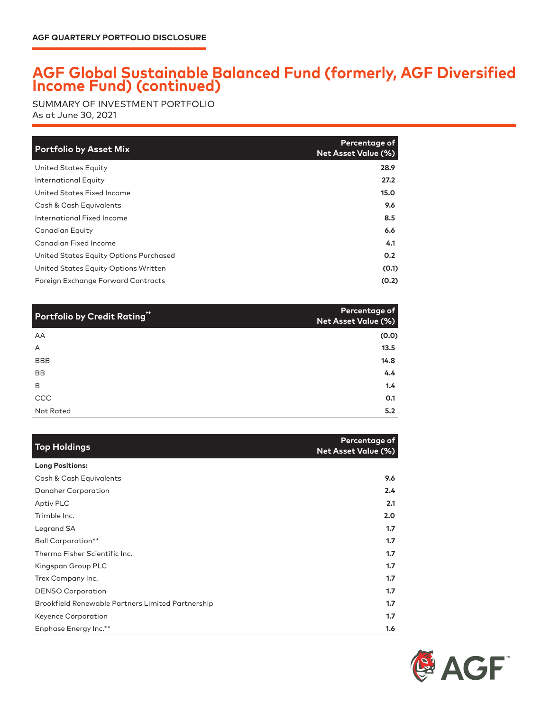## **AGF Global Sustainable Balanced Fund (formerly, AGF Diversified Income Fund) (continued)**

SUMMARY OF INVESTMENT PORTFOLIO As at June 30, 2021

| <b>Portfolio by Asset Mix</b>          | Percentage of<br><b>Net Asset Value (%)</b> |
|----------------------------------------|---------------------------------------------|
| United States Equity                   | 28.9                                        |
| International Equity                   | 27.2                                        |
| United States Fixed Income             | 15.0                                        |
| Cash & Cash Equivalents                | 9.6                                         |
| International Fixed Income             | 8.5                                         |
| Canadian Equity                        | 6.6                                         |
| Canadian Fixed Income                  | 4.1                                         |
| United States Equity Options Purchased | 0.2                                         |
| United States Equity Options Written   | (0.1)                                       |
| Foreign Exchange Forward Contracts     | (0.2)                                       |

| Portfolio by Credit Rating" | Percentage of<br>Net Asset Value (%) |
|-----------------------------|--------------------------------------|
| AA                          | (0.0)                                |
| A                           | 13.5                                 |
| <b>BBB</b>                  | 14.8                                 |
| <b>BB</b>                   | 4.4                                  |
| B                           | 1.4                                  |
| CCC                         | 0.1                                  |
| Not Rated                   | 5.2                                  |

| <b>Top Holdings</b>                               | Percentage of<br><b>Net Asset Value (%)</b> |
|---------------------------------------------------|---------------------------------------------|
| <b>Long Positions:</b>                            |                                             |
| Cash & Cash Equivalents                           | 9.6                                         |
| Danaher Corporation                               | 2.4                                         |
| Aptiv PLC                                         | 2.1                                         |
| Trimble Inc.                                      | 2.0                                         |
| Legrand SA                                        | 1.7                                         |
| <b>Ball Corporation**</b>                         | 1.7                                         |
| Thermo Fisher Scientific Inc.                     | 1.7                                         |
| Kingspan Group PLC                                | 1.7                                         |
| Trex Company Inc.                                 | 1.7                                         |
| <b>DENSO Corporation</b>                          | 1.7                                         |
| Brookfield Renewable Partners Limited Partnership | 1.7                                         |
| Keyence Corporation                               | 1.7                                         |
| Enphase Energy Inc.**                             | 1.6                                         |